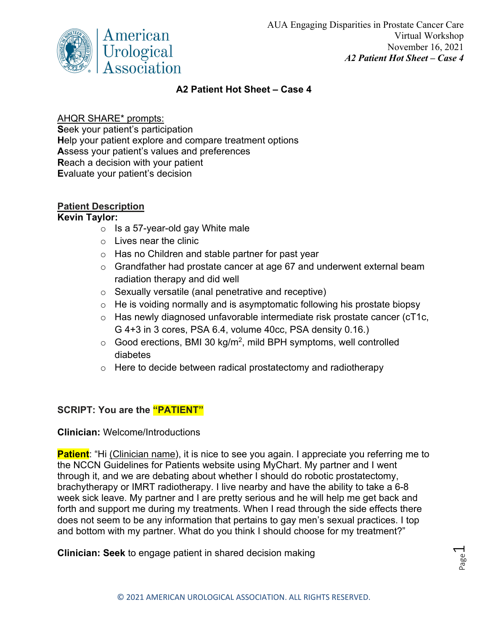

# **A2 Patient Hot Sheet – Case 4**

# AHQR SHARE\* prompts:

**S**eek your patient's participation **H**elp your patient explore and compare treatment options **A**ssess your patient's values and preferences **R**each a decision with your patient **E**valuate your patient's decision

# **Patient Description**

### **Kevin Taylor:**

- $\circ$  Is a 57-year-old gay White male
- o Lives near the clinic
- $\circ$  Has no Children and stable partner for past year
- o Grandfather had prostate cancer at age 67 and underwent external beam radiation therapy and did well
- o Sexually versatile (anal penetrative and receptive)
- $\circ$  He is voiding normally and is asymptomatic following his prostate biopsy
- o Has newly diagnosed unfavorable intermediate risk prostate cancer (cT1c, G 4+3 in 3 cores, PSA 6.4, volume 40cc, PSA density 0.16.)
- $\circ$  Good erections, BMI 30 kg/m<sup>2</sup>, mild BPH symptoms, well controlled diabetes
- o Here to decide between radical prostatectomy and radiotherapy

# **SCRIPT: You are the "PATIENT"**

# **Clinician:** Welcome/Introductions

**Patient**: "Hi (Clinician name), it is nice to see you again. I appreciate you referring me to the NCCN Guidelines for Patients website using MyChart. My partner and I went through it, and we are debating about whether I should do robotic prostatectomy, brachytherapy or IMRT radiotherapy. I live nearby and have the ability to take a 6-8 week sick leave. My partner and I are pretty serious and he will help me get back and forth and support me during my treatments. When I read through the side effects there does not seem to be any information that pertains to gay men's sexual practices. I top and bottom with my partner. What do you think I should choose for my treatment?"

**Clinician: Seek** to engage patient in shared decision making